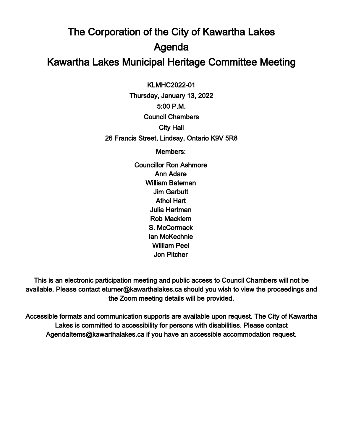## The Corporation of the City of Kawartha Lakes Agenda Kawartha Lakes Municipal Heritage Committee Meeting

 $\overline{a}$ KLMHC2022-01

Thursday, January 13, 2022 5:00 P.M. Council Chambers City Hall 26 Francis Street, Lindsay, Ontario K9V 5R8

Members:

Councillor Ron Ashmore Ann Adare William Bateman Jim Garbutt Athol Hart Julia Hartman Rob Macklem S. McCormack Ian McKechnie William Peel Jon Pitcher

This is an electronic participation meeting and public access to Council Chambers will not be available. Please contact eturner@kawarthalakes.ca should you wish to view the proceedings and the Zoom meeting details will be provided.

Accessible formats and communication supports are available upon request. The City of Kawartha Lakes is committed to accessibility for persons with disabilities. Please contact AgendaItems@kawarthalakes.ca if you have an accessible accommodation request.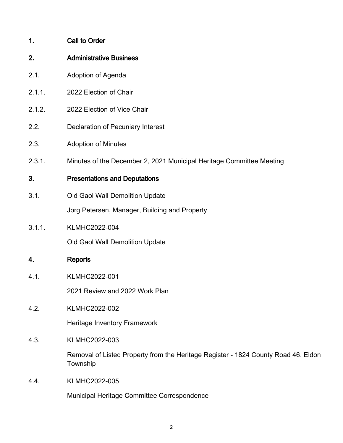| 1. | <b>Call to Order</b> |
|----|----------------------|
|    |                      |

- 2. Administrative Business
- 2.1. Adoption of Agenda
- 2.1.1. 2022 Election of Chair
- 2.1.2. 2022 Election of Vice Chair
- 2.2. Declaration of Pecuniary Interest
- 2.3. Adoption of Minutes
- 2.3.1. Minutes of the December 2, 2021 Municipal Heritage Committee Meeting

## 3. Presentations and Deputations

3.1. Old Gaol Wall Demolition Update

Jorg Petersen, Manager, Building and Property

3.1.1. KLMHC2022-004

Old Gaol Wall Demolition Update

## 4. Reports

4.1. KLMHC2022-001

2021 Review and 2022 Work Plan

4.2. KLMHC2022-002

Heritage Inventory Framework

4.3. KLMHC2022-003

Removal of Listed Property from the Heritage Register - 1824 County Road 46, Eldon **Township** 

4.4. KLMHC2022-005

Municipal Heritage Committee Correspondence